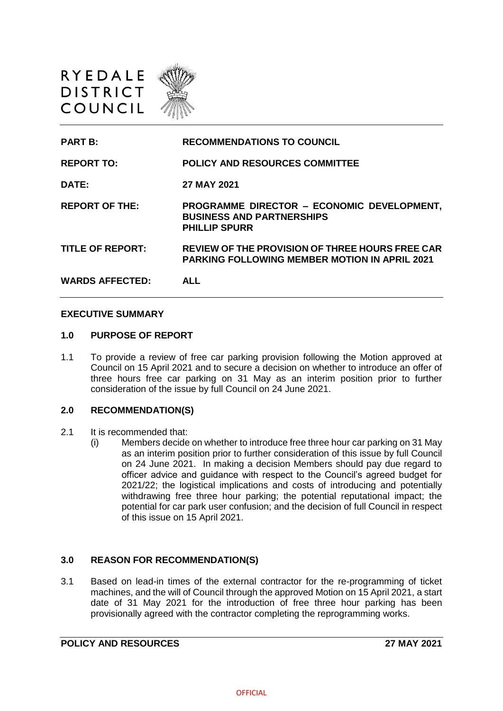



#### **EXECUTIVE SUMMARY**

### **1.0 PURPOSE OF REPORT**

1.1 To provide a review of free car parking provision following the Motion approved at Council on 15 April 2021 and to secure a decision on whether to introduce an offer of three hours free car parking on 31 May as an interim position prior to further consideration of the issue by full Council on 24 June 2021.

#### **2.0 RECOMMENDATION(S)**

- 2.1 It is recommended that:
	- (i) Members decide on whether to introduce free three hour car parking on 31 May as an interim position prior to further consideration of this issue by full Council on 24 June 2021. In making a decision Members should pay due regard to officer advice and guidance with respect to the Council's agreed budget for 2021/22; the logistical implications and costs of introducing and potentially withdrawing free three hour parking; the potential reputational impact; the potential for car park user confusion; and the decision of full Council in respect of this issue on 15 April 2021.

## **3.0 REASON FOR RECOMMENDATION(S)**

3.1 Based on lead-in times of the external contractor for the re-programming of ticket machines, and the will of Council through the approved Motion on 15 April 2021, a start date of 31 May 2021 for the introduction of free three hour parking has been provisionally agreed with the contractor completing the reprogramming works.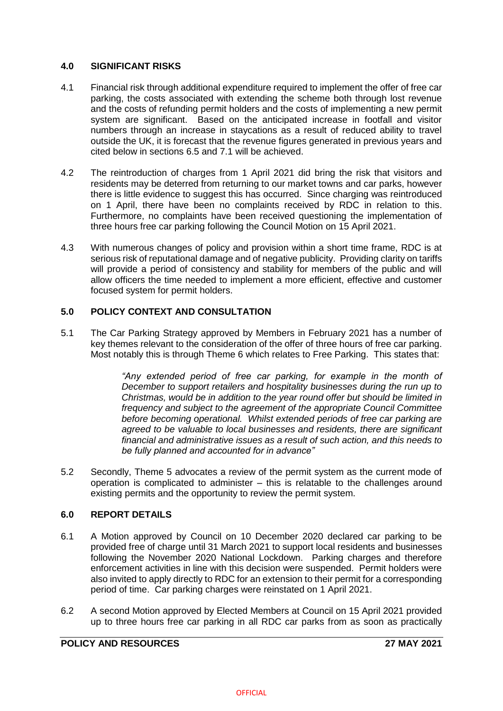## **4.0 SIGNIFICANT RISKS**

- 4.1 Financial risk through additional expenditure required to implement the offer of free car parking, the costs associated with extending the scheme both through lost revenue and the costs of refunding permit holders and the costs of implementing a new permit system are significant. Based on the anticipated increase in footfall and visitor numbers through an increase in staycations as a result of reduced ability to travel outside the UK, it is forecast that the revenue figures generated in previous years and cited below in sections 6.5 and 7.1 will be achieved.
- 4.2 The reintroduction of charges from 1 April 2021 did bring the risk that visitors and residents may be deterred from returning to our market towns and car parks, however there is little evidence to suggest this has occurred. Since charging was reintroduced on 1 April, there have been no complaints received by RDC in relation to this. Furthermore, no complaints have been received questioning the implementation of three hours free car parking following the Council Motion on 15 April 2021.
- 4.3 With numerous changes of policy and provision within a short time frame, RDC is at serious risk of reputational damage and of negative publicity. Providing clarity on tariffs will provide a period of consistency and stability for members of the public and will allow officers the time needed to implement a more efficient, effective and customer focused system for permit holders.

## **5.0 POLICY CONTEXT AND CONSULTATION**

5.1 The Car Parking Strategy approved by Members in February 2021 has a number of key themes relevant to the consideration of the offer of three hours of free car parking. Most notably this is through Theme 6 which relates to Free Parking. This states that:

> *"Any extended period of free car parking, for example in the month of December to support retailers and hospitality businesses during the run up to Christmas, would be in addition to the year round offer but should be limited in frequency and subject to the agreement of the appropriate Council Committee before becoming operational. Whilst extended periods of free car parking are agreed to be valuable to local businesses and residents, there are significant financial and administrative issues as a result of such action, and this needs to be fully planned and accounted for in advance"*

5.2 Secondly, Theme 5 advocates a review of the permit system as the current mode of operation is complicated to administer – this is relatable to the challenges around existing permits and the opportunity to review the permit system.

## **6.0 REPORT DETAILS**

- 6.1 A Motion approved by Council on 10 December 2020 declared car parking to be provided free of charge until 31 March 2021 to support local residents and businesses following the November 2020 National Lockdown. Parking charges and therefore enforcement activities in line with this decision were suspended. Permit holders were also invited to apply directly to RDC for an extension to their permit for a corresponding period of time. Car parking charges were reinstated on 1 April 2021.
- 6.2 A second Motion approved by Elected Members at Council on 15 April 2021 provided up to three hours free car parking in all RDC car parks from as soon as practically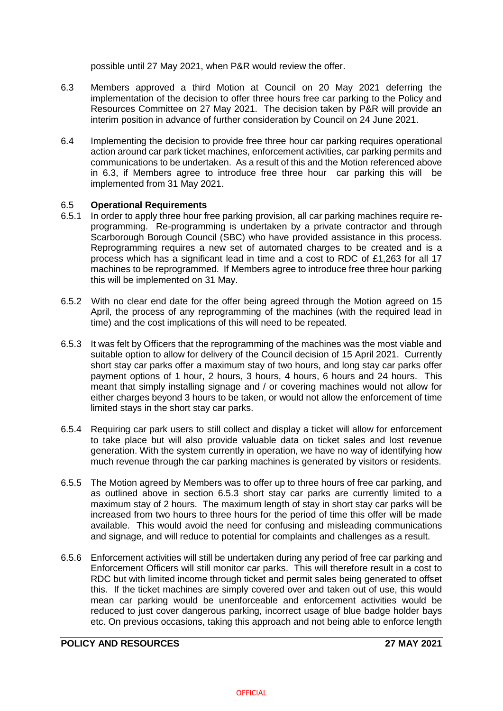possible until 27 May 2021, when P&R would review the offer.

- 6.3 Members approved a third Motion at Council on 20 May 2021 deferring the implementation of the decision to offer three hours free car parking to the Policy and Resources Committee on 27 May 2021. The decision taken by P&R will provide an interim position in advance of further consideration by Council on 24 June 2021.
- 6.4 Implementing the decision to provide free three hour car parking requires operational action around car park ticket machines, enforcement activities, car parking permits and communications to be undertaken. As a result of this and the Motion referenced above in 6.3, if Members agree to introduce free three hour car parking this will be implemented from 31 May 2021.

### 6.5 **Operational Requirements**

- 6.5.1 In order to apply three hour free parking provision, all car parking machines require reprogramming. Re-programming is undertaken by a private contractor and through Scarborough Borough Council (SBC) who have provided assistance in this process. Reprogramming requires a new set of automated charges to be created and is a process which has a significant lead in time and a cost to RDC of £1,263 for all 17 machines to be reprogrammed. If Members agree to introduce free three hour parking this will be implemented on 31 May.
- 6.5.2 With no clear end date for the offer being agreed through the Motion agreed on 15 April, the process of any reprogramming of the machines (with the required lead in time) and the cost implications of this will need to be repeated.
- 6.5.3 It was felt by Officers that the reprogramming of the machines was the most viable and suitable option to allow for delivery of the Council decision of 15 April 2021. Currently short stay car parks offer a maximum stay of two hours, and long stay car parks offer payment options of 1 hour, 2 hours, 3 hours, 4 hours, 6 hours and 24 hours. This meant that simply installing signage and / or covering machines would not allow for either charges beyond 3 hours to be taken, or would not allow the enforcement of time limited stays in the short stay car parks.
- 6.5.4 Requiring car park users to still collect and display a ticket will allow for enforcement to take place but will also provide valuable data on ticket sales and lost revenue generation. With the system currently in operation, we have no way of identifying how much revenue through the car parking machines is generated by visitors or residents.
- 6.5.5 The Motion agreed by Members was to offer up to three hours of free car parking, and as outlined above in section 6.5.3 short stay car parks are currently limited to a maximum stay of 2 hours. The maximum length of stay in short stay car parks will be increased from two hours to three hours for the period of time this offer will be made available. This would avoid the need for confusing and misleading communications and signage, and will reduce to potential for complaints and challenges as a result.
- 6.5.6 Enforcement activities will still be undertaken during any period of free car parking and Enforcement Officers will still monitor car parks. This will therefore result in a cost to RDC but with limited income through ticket and permit sales being generated to offset this. If the ticket machines are simply covered over and taken out of use, this would mean car parking would be unenforceable and enforcement activities would be reduced to just cover dangerous parking, incorrect usage of blue badge holder bays etc. On previous occasions, taking this approach and not being able to enforce length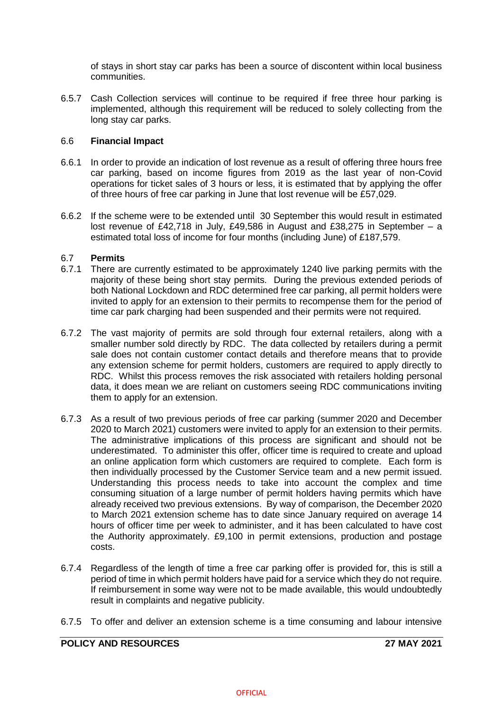of stays in short stay car parks has been a source of discontent within local business communities.

6.5.7 Cash Collection services will continue to be required if free three hour parking is implemented, although this requirement will be reduced to solely collecting from the long stay car parks.

### 6.6 **Financial Impact**

- 6.6.1 In order to provide an indication of lost revenue as a result of offering three hours free car parking, based on income figures from 2019 as the last year of non-Covid operations for ticket sales of 3 hours or less, it is estimated that by applying the offer of three hours of free car parking in June that lost revenue will be £57,029.
- 6.6.2 If the scheme were to be extended until 30 September this would result in estimated lost revenue of £42,718 in July, £49,586 in August and £38,275 in September – a estimated total loss of income for four months (including June) of £187,579.

### 6.7 **Permits**

- 6.7.1 There are currently estimated to be approximately 1240 live parking permits with the majority of these being short stay permits. During the previous extended periods of both National Lockdown and RDC determined free car parking, all permit holders were invited to apply for an extension to their permits to recompense them for the period of time car park charging had been suspended and their permits were not required.
- 6.7.2 The vast majority of permits are sold through four external retailers, along with a smaller number sold directly by RDC. The data collected by retailers during a permit sale does not contain customer contact details and therefore means that to provide any extension scheme for permit holders, customers are required to apply directly to RDC. Whilst this process removes the risk associated with retailers holding personal data, it does mean we are reliant on customers seeing RDC communications inviting them to apply for an extension.
- 6.7.3 As a result of two previous periods of free car parking (summer 2020 and December 2020 to March 2021) customers were invited to apply for an extension to their permits. The administrative implications of this process are significant and should not be underestimated. To administer this offer, officer time is required to create and upload an online application form which customers are required to complete. Each form is then individually processed by the Customer Service team and a new permit issued. Understanding this process needs to take into account the complex and time consuming situation of a large number of permit holders having permits which have already received two previous extensions. By way of comparison, the December 2020 to March 2021 extension scheme has to date since January required on average 14 hours of officer time per week to administer, and it has been calculated to have cost the Authority approximately. £9,100 in permit extensions, production and postage costs.
- 6.7.4 Regardless of the length of time a free car parking offer is provided for, this is still a period of time in which permit holders have paid for a service which they do not require. If reimbursement in some way were not to be made available, this would undoubtedly result in complaints and negative publicity.
- 6.7.5 To offer and deliver an extension scheme is a time consuming and labour intensive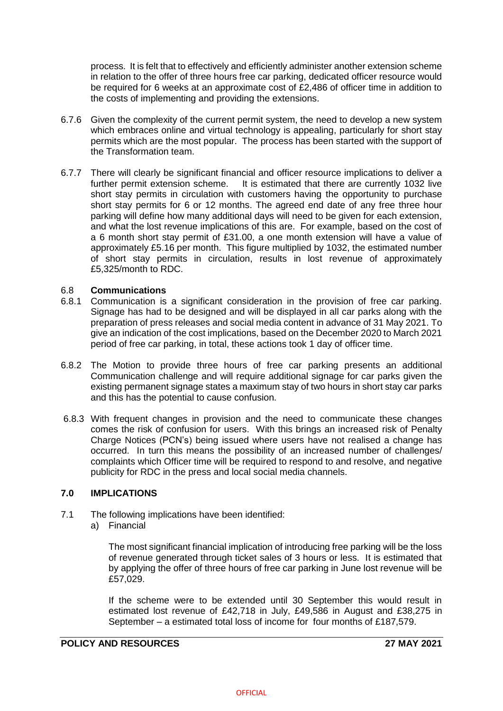process. It is felt that to effectively and efficiently administer another extension scheme in relation to the offer of three hours free car parking, dedicated officer resource would be required for 6 weeks at an approximate cost of £2,486 of officer time in addition to the costs of implementing and providing the extensions.

- 6.7.6 Given the complexity of the current permit system, the need to develop a new system which embraces online and virtual technology is appealing, particularly for short stay permits which are the most popular. The process has been started with the support of the Transformation team.
- 6.7.7 There will clearly be significant financial and officer resource implications to deliver a further permit extension scheme. It is estimated that there are currently 1032 live It is estimated that there are currently 1032 live short stay permits in circulation with customers having the opportunity to purchase short stay permits for 6 or 12 months. The agreed end date of any free three hour parking will define how many additional days will need to be given for each extension, and what the lost revenue implications of this are. For example, based on the cost of a 6 month short stay permit of £31.00, a one month extension will have a value of approximately £5.16 per month. This figure multiplied by 1032, the estimated number of short stay permits in circulation, results in lost revenue of approximately £5,325/month to RDC.

### 6.8 **Communications**

- 6.8.1 Communication is a significant consideration in the provision of free car parking. Signage has had to be designed and will be displayed in all car parks along with the preparation of press releases and social media content in advance of 31 May 2021. To give an indication of the cost implications, based on the December 2020 to March 2021 period of free car parking, in total, these actions took 1 day of officer time.
- 6.8.2 The Motion to provide three hours of free car parking presents an additional Communication challenge and will require additional signage for car parks given the existing permanent signage states a maximum stay of two hours in short stay car parks and this has the potential to cause confusion.
- 6.8.3 With frequent changes in provision and the need to communicate these changes comes the risk of confusion for users. With this brings an increased risk of Penalty Charge Notices (PCN's) being issued where users have not realised a change has occurred. In turn this means the possibility of an increased number of challenges/ complaints which Officer time will be required to respond to and resolve, and negative publicity for RDC in the press and local social media channels.

#### **7.0 IMPLICATIONS**

- 7.1 The following implications have been identified:
	- a) Financial

The most significant financial implication of introducing free parking will be the loss of revenue generated through ticket sales of 3 hours or less. It is estimated that by applying the offer of three hours of free car parking in June lost revenue will be £57,029.

If the scheme were to be extended until 30 September this would result in estimated lost revenue of £42,718 in July, £49,586 in August and £38,275 in September – a estimated total loss of income for four months of £187,579.